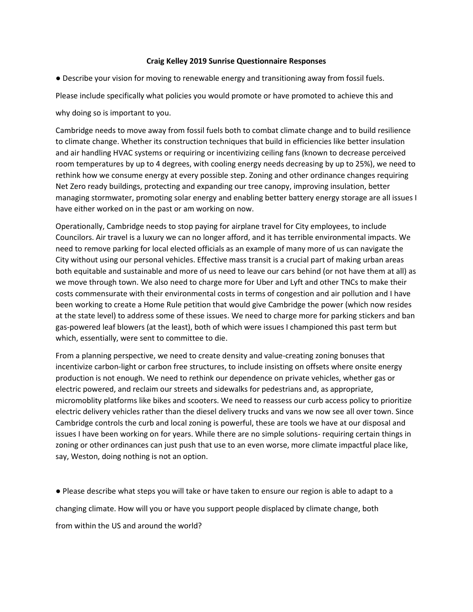## **Craig Kelley 2019 Sunrise Questionnaire Responses**

● Describe your vision for moving to renewable energy and transitioning away from fossil fuels.

Please include specifically what policies you would promote or have promoted to achieve this and

why doing so is important to you.

Cambridge needs to move away from fossil fuels both to combat climate change and to build resilience to climate change. Whether its construction techniques that build in efficiencies like better insulation and air handling HVAC systems or requiring or incentivizing ceiling fans (known to decrease perceived room temperatures by up to 4 degrees, with cooling energy needs decreasing by up to 25%), we need to rethink how we consume energy at every possible step. Zoning and other ordinance changes requiring Net Zero ready buildings, protecting and expanding our tree canopy, improving insulation, better managing stormwater, promoting solar energy and enabling better battery energy storage are all issues I have either worked on in the past or am working on now.

Operationally, Cambridge needs to stop paying for airplane travel for City employees, to include Councilors. Air travel is a luxury we can no longer afford, and it has terrible environmental impacts. We need to remove parking for local elected officials as an example of many more of us can navigate the City without using our personal vehicles. Effective mass transit is a crucial part of making urban areas both equitable and sustainable and more of us need to leave our cars behind (or not have them at all) as we move through town. We also need to charge more for Uber and Lyft and other TNCs to make their costs commensurate with their environmental costs in terms of congestion and air pollution and I have been working to create a Home Rule petition that would give Cambridge the power (which now resides at the state level) to address some of these issues. We need to charge more for parking stickers and ban gas-powered leaf blowers (at the least), both of which were issues I championed this past term but which, essentially, were sent to committee to die.

From a planning perspective, we need to create density and value-creating zoning bonuses that incentivize carbon-light or carbon free structures, to include insisting on offsets where onsite energy production is not enough. We need to rethink our dependence on private vehicles, whether gas or electric powered, and reclaim our streets and sidewalks for pedestrians and, as appropriate, micromoblity platforms like bikes and scooters. We need to reassess our curb access policy to prioritize electric delivery vehicles rather than the diesel delivery trucks and vans we now see all over town. Since Cambridge controls the curb and local zoning is powerful, these are tools we have at our disposal and issues I have been working on for years. While there are no simple solutions- requiring certain things in zoning or other ordinances can just push that use to an even worse, more climate impactful place like, say, Weston, doing nothing is not an option.

● Please describe what steps you will take or have taken to ensure our region is able to adapt to a changing climate. How will you or have you support people displaced by climate change, both from within the US and around the world?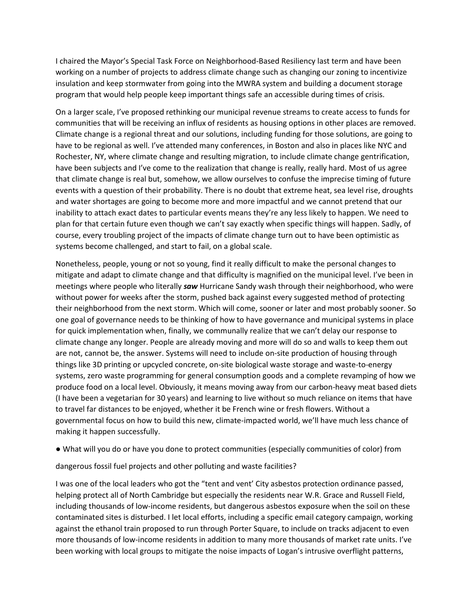I chaired the Mayor's Special Task Force on Neighborhood-Based Resiliency last term and have been working on a number of projects to address climate change such as changing our zoning to incentivize insulation and keep stormwater from going into the MWRA system and building a document storage program that would help people keep important things safe an accessible during times of crisis.

On a larger scale, I've proposed rethinking our municipal revenue streams to create access to funds for communities that will be receiving an influx of residents as housing options in other places are removed. Climate change is a regional threat and our solutions, including funding for those solutions, are going to have to be regional as well. I've attended many conferences, in Boston and also in places like NYC and Rochester, NY, where climate change and resulting migration, to include climate change gentrification, have been subjects and I've come to the realization that change is really, really hard. Most of us agree that climate change is real but, somehow, we allow ourselves to confuse the imprecise timing of future events with a question of their probability. There is no doubt that extreme heat, sea level rise, droughts and water shortages are going to become more and more impactful and we cannot pretend that our inability to attach exact dates to particular events means they're any less likely to happen. We need to plan for that certain future even though we can't say exactly when specific things will happen. Sadly, of course, every troubling project of the impacts of climate change turn out to have been optimistic as systems become challenged, and start to fail, on a global scale.

Nonetheless, people, young or not so young, find it really difficult to make the personal changes to mitigate and adapt to climate change and that difficulty is magnified on the municipal level. I've been in meetings where people who literally *saw* Hurricane Sandy wash through their neighborhood, who were without power for weeks after the storm, pushed back against every suggested method of protecting their neighborhood from the next storm. Which will come, sooner or later and most probably sooner. So one goal of governance needs to be thinking of how to have governance and municipal systems in place for quick implementation when, finally, we communally realize that we can't delay our response to climate change any longer. People are already moving and more will do so and walls to keep them out are not, cannot be, the answer. Systems will need to include on-site production of housing through things like 3D printing or upcycled concrete, on-site biological waste storage and waste-to-energy systems, zero waste programming for general consumption goods and a complete revamping of how we produce food on a local level. Obviously, it means moving away from our carbon-heavy meat based diets (I have been a vegetarian for 30 years) and learning to live without so much reliance on items that have to travel far distances to be enjoyed, whether it be French wine or fresh flowers. Without a governmental focus on how to build this new, climate-impacted world, we'll have much less chance of making it happen successfully.

● What will you do or have you done to protect communities (especially communities of color) from

dangerous fossil fuel projects and other polluting and waste facilities?

I was one of the local leaders who got the "tent and vent' City asbestos protection ordinance passed, helping protect all of North Cambridge but especially the residents near W.R. Grace and Russell Field, including thousands of low-income residents, but dangerous asbestos exposure when the soil on these contaminated sites is disturbed. I let local efforts, including a specific email category campaign, working against the ethanol train proposed to run through Porter Square, to include on tracks adjacent to even more thousands of low-income residents in addition to many more thousands of market rate units. I've been working with local groups to mitigate the noise impacts of Logan's intrusive overflight patterns,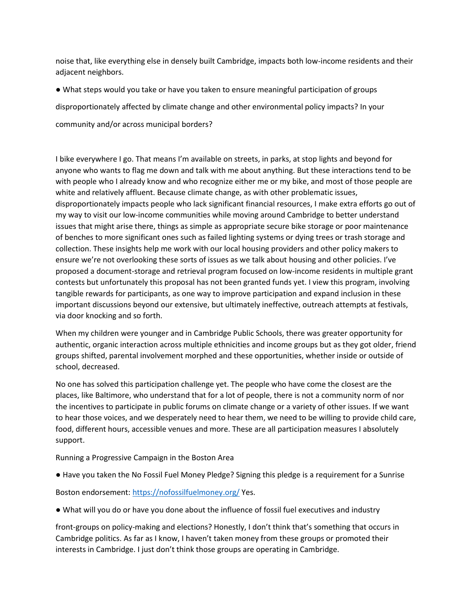noise that, like everything else in densely built Cambridge, impacts both low-income residents and their adjacent neighbors.

● What steps would you take or have you taken to ensure meaningful participation of groups disproportionately affected by climate change and other environmental policy impacts? In your community and/or across municipal borders?

I bike everywhere I go. That means I'm available on streets, in parks, at stop lights and beyond for anyone who wants to flag me down and talk with me about anything. But these interactions tend to be with people who I already know and who recognize either me or my bike, and most of those people are white and relatively affluent. Because climate change, as with other problematic issues, disproportionately impacts people who lack significant financial resources, I make extra efforts go out of my way to visit our low-income communities while moving around Cambridge to better understand issues that might arise there, things as simple as appropriate secure bike storage or poor maintenance of benches to more significant ones such as failed lighting systems or dying trees or trash storage and collection. These insights help me work with our local housing providers and other policy makers to ensure we're not overlooking these sorts of issues as we talk about housing and other policies. I've proposed a document-storage and retrieval program focused on low-income residents in multiple grant contests but unfortunately this proposal has not been granted funds yet. I view this program, involving tangible rewards for participants, as one way to improve participation and expand inclusion in these important discussions beyond our extensive, but ultimately ineffective, outreach attempts at festivals, via door knocking and so forth.

When my children were younger and in Cambridge Public Schools, there was greater opportunity for authentic, organic interaction across multiple ethnicities and income groups but as they got older, friend groups shifted, parental involvement morphed and these opportunities, whether inside or outside of school, decreased.

No one has solved this participation challenge yet. The people who have come the closest are the places, like Baltimore, who understand that for a lot of people, there is not a community norm of nor the incentives to participate in public forums on climate change or a variety of other issues. If we want to hear those voices, and we desperately need to hear them, we need to be willing to provide child care, food, different hours, accessible venues and more. These are all participation measures I absolutely support.

Running a Progressive Campaign in the Boston Area

● Have you taken the No Fossil Fuel Money Pledge? Signing this pledge is a requirement for a Sunrise

Boston endorsement:<https://nofossilfuelmoney.org/> Yes.

● What will you do or have you done about the influence of fossil fuel executives and industry

front-groups on policy-making and elections? Honestly, I don't think that's something that occurs in Cambridge politics. As far as I know, I haven't taken money from these groups or promoted their interests in Cambridge. I just don't think those groups are operating in Cambridge.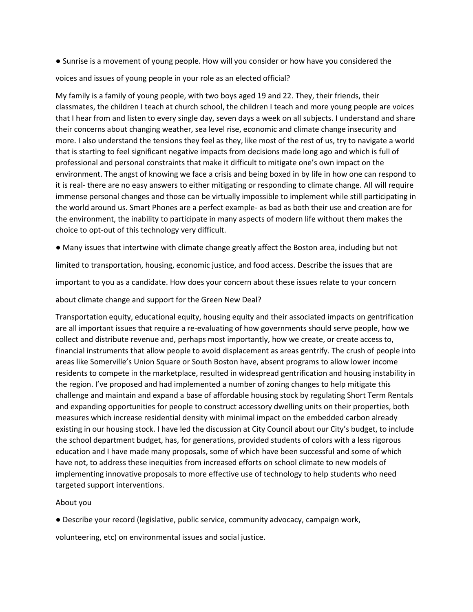● Sunrise is a movement of young people. How will you consider or how have you considered the

voices and issues of young people in your role as an elected official?

My family is a family of young people, with two boys aged 19 and 22. They, their friends, their classmates, the children I teach at church school, the children I teach and more young people are voices that I hear from and listen to every single day, seven days a week on all subjects. I understand and share their concerns about changing weather, sea level rise, economic and climate change insecurity and more. I also understand the tensions they feel as they, like most of the rest of us, try to navigate a world that is starting to feel significant negative impacts from decisions made long ago and which is full of professional and personal constraints that make it difficult to mitigate one's own impact on the environment. The angst of knowing we face a crisis and being boxed in by life in how one can respond to it is real- there are no easy answers to either mitigating or responding to climate change. All will require immense personal changes and those can be virtually impossible to implement while still participating in the world around us. Smart Phones are a perfect example- as bad as both their use and creation are for the environment, the inability to participate in many aspects of modern life without them makes the choice to opt-out of this technology very difficult.

● Many issues that intertwine with climate change greatly affect the Boston area, including but not

limited to transportation, housing, economic justice, and food access. Describe the issues that are

important to you as a candidate. How does your concern about these issues relate to your concern

about climate change and support for the Green New Deal?

Transportation equity, educational equity, housing equity and their associated impacts on gentrification are all important issues that require a re-evaluating of how governments should serve people, how we collect and distribute revenue and, perhaps most importantly, how we create, or create access to, financial instruments that allow people to avoid displacement as areas gentrify. The crush of people into areas like Somerville's Union Square or South Boston have, absent programs to allow lower income residents to compete in the marketplace, resulted in widespread gentrification and housing instability in the region. I've proposed and had implemented a number of zoning changes to help mitigate this challenge and maintain and expand a base of affordable housing stock by regulating Short Term Rentals and expanding opportunities for people to construct accessory dwelling units on their properties, both measures which increase residential density with minimal impact on the embedded carbon already existing in our housing stock. I have led the discussion at City Council about our City's budget, to include the school department budget, has, for generations, provided students of colors with a less rigorous education and I have made many proposals, some of which have been successful and some of which have not, to address these inequities from increased efforts on school climate to new models of implementing innovative proposals to more effective use of technology to help students who need targeted support interventions.

## About you

● Describe your record (legislative, public service, community advocacy, campaign work,

volunteering, etc) on environmental issues and social justice.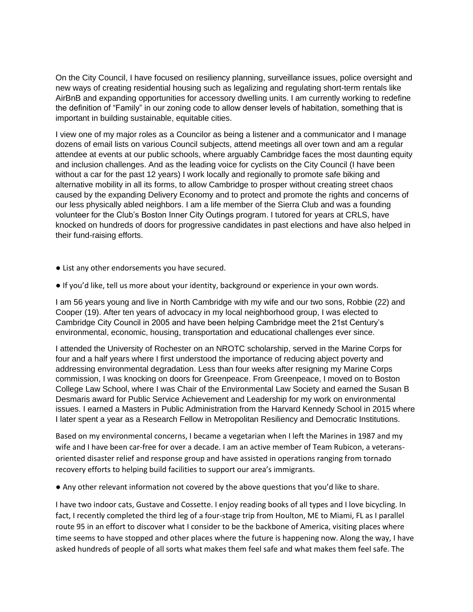On the City Council, I have focused on resiliency planning, surveillance issues, police oversight and new ways of creating residential housing such as legalizing and regulating short-term rentals like AirBnB and expanding opportunities for accessory dwelling units. I am currently working to redefine the definition of "Family" in our zoning code to allow denser levels of habitation, something that is important in building sustainable, equitable cities.

I view one of my major roles as a Councilor as being a listener and a communicator and I manage dozens of email lists on various Council subjects, attend meetings all over town and am a regular attendee at events at our public schools, where arguably Cambridge faces the most daunting equity and inclusion challenges. And as the leading voice for cyclists on the City Council (I have been without a car for the past 12 years) I work locally and regionally to promote safe biking and alternative mobility in all its forms, to allow Cambridge to prosper without creating street chaos caused by the expanding Delivery Economy and to protect and promote the rights and concerns of our less physically abled neighbors. I am a life member of the Sierra Club and was a founding volunteer for the Club's Boston Inner City Outings program. I tutored for years at CRLS, have knocked on hundreds of doors for progressive candidates in past elections and have also helped in their fund-raising efforts.

- List any other endorsements you have secured.
- If you'd like, tell us more about your identity, background or experience in your own words.

I am 56 years young and live in North Cambridge with my wife and our two sons, Robbie (22) and Cooper (19). After ten years of advocacy in my local neighborhood group, I was elected to Cambridge City Council in 2005 and have been helping Cambridge meet the 21st Century's environmental, economic, housing, transportation and educational challenges ever since.

I attended the University of Rochester on an NROTC scholarship, served in the Marine Corps for four and a half years where I first understood the importance of reducing abject poverty and addressing environmental degradation. Less than four weeks after resigning my Marine Corps commission, I was knocking on doors for Greenpeace. From Greenpeace, I moved on to Boston College Law School, where I was Chair of the Environmental Law Society and earned the Susan B Desmaris award for Public Service Achievement and Leadership for my work on environmental issues. I earned a Masters in Public Administration from the Harvard Kennedy School in 2015 where I later spent a year as a Research Fellow in Metropolitan Resiliency and Democratic Institutions.

Based on my environmental concerns, I became a vegetarian when I left the Marines in 1987 and my wife and I have been car-free for over a decade. I am an active member of Team Rubicon, a veteransoriented disaster relief and response group and have assisted in operations ranging from tornado recovery efforts to helping build facilities to support our area's immigrants.

● Any other relevant information not covered by the above questions that you'd like to share.

I have two indoor cats, Gustave and Cossette. I enjoy reading books of all types and I love bicycling. In fact, I recently completed the third leg of a four-stage trip from Houlton, ME to Miami, FL as I parallel route 95 in an effort to discover what I consider to be the backbone of America, visiting places where time seems to have stopped and other places where the future is happening now. Along the way, I have asked hundreds of people of all sorts what makes them feel safe and what makes them feel safe. The